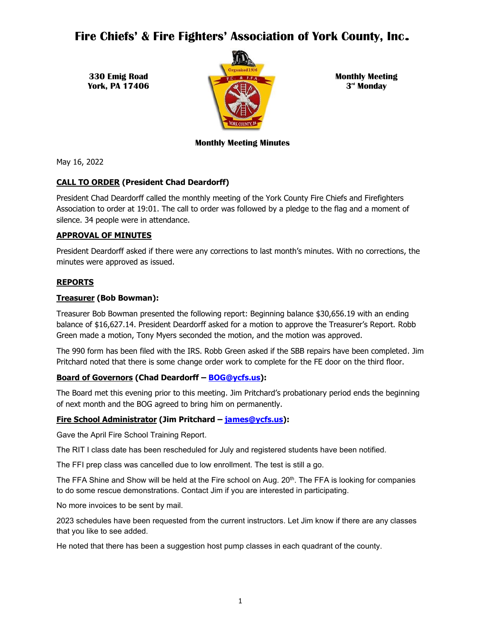# **Fire Chiefs' & Fire Fighters' Association of York County, Inc**.

**330 Emig Road York, PA 17406**



**Monthly Meeting 3 rd Monday**

## **Monthly Meeting Minutes**

May 16, 2022

## **CALL TO ORDER (President Chad Deardorff)**

President Chad Deardorff called the monthly meeting of the York County Fire Chiefs and Firefighters Association to order at 19:01. The call to order was followed by a pledge to the flag and a moment of silence. 34 people were in attendance.

## **APPROVAL OF MINUTES**

President Deardorff asked if there were any corrections to last month's minutes. With no corrections, the minutes were approved as issued.

## **REPORTS**

## **Treasurer (Bob Bowman):**

Treasurer Bob Bowman presented the following report: Beginning balance \$30,656.19 with an ending balance of \$16,627.14. President Deardorff asked for a motion to approve the Treasurer's Report. Robb Green made a motion, Tony Myers seconded the motion, and the motion was approved.

The 990 form has been filed with the IRS. Robb Green asked if the SBB repairs have been completed. Jim Pritchard noted that there is some change order work to complete for the FE door on the third floor.

## **Board of Governors (Chad Deardorff – [BOG@ycfs.us\)](mailto:BOG@ycfs.us):**

The Board met this evening prior to this meeting. Jim Pritchard's probationary period ends the beginning of next month and the BOG agreed to bring him on permanently.

## **Fire School Administrator (Jim Pritchard – [james@ycfs.us\)](mailto:james@ycfs.us):**

Gave the April Fire School Training Report.

The RIT I class date has been rescheduled for July and registered students have been notified.

The FFI prep class was cancelled due to low enrollment. The test is still a go.

The FFA Shine and Show will be held at the Fire school on Aug.  $20<sup>th</sup>$ . The FFA is looking for companies to do some rescue demonstrations. Contact Jim if you are interested in participating.

No more invoices to be sent by mail.

2023 schedules have been requested from the current instructors. Let Jim know if there are any classes that you like to see added.

He noted that there has been a suggestion host pump classes in each quadrant of the county.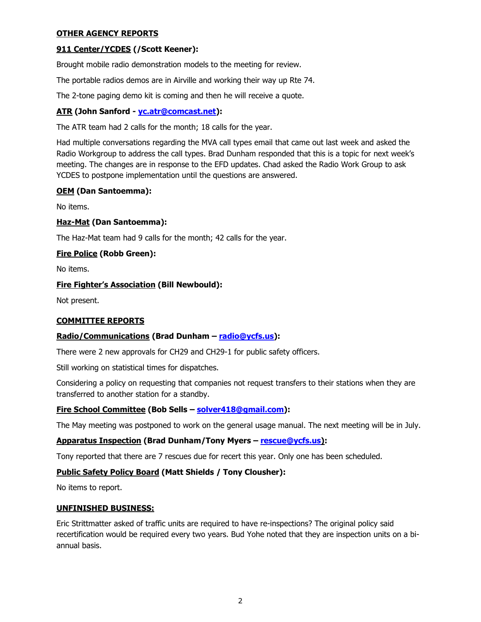## **OTHER AGENCY REPORTS**

## **911 Center/YCDES (/Scott Keener):**

Brought mobile radio demonstration models to the meeting for review.

The portable radios demos are in Airville and working their way up Rte 74.

The 2-tone paging demo kit is coming and then he will receive a quote.

## **ATR (John Sanford - [yc.atr@comcast.net\)](mailto:yc.atr@comcast.net):**

The ATR team had 2 calls for the month; 18 calls for the year.

Had multiple conversations regarding the MVA call types email that came out last week and asked the Radio Workgroup to address the call types. Brad Dunham responded that this is a topic for next week's meeting. The changes are in response to the EFD updates. Chad asked the Radio Work Group to ask YCDES to postpone implementation until the questions are answered.

## **OEM (Dan Santoemma):**

No items.

## **Haz-Mat (Dan Santoemma):**

The Haz-Mat team had 9 calls for the month; 42 calls for the year.

## **Fire Police (Robb Green):**

No items.

## **Fire Fighter's Association (Bill Newbould):**

Not present.

## **COMMITTEE REPORTS**

## **Radio/Communications (Brad Dunham – [radio@ycfs.us\)](mailto:radio@ycfs.us):**

There were 2 new approvals for CH29 and CH29-1 for public safety officers.

Still working on statistical times for dispatches.

Considering a policy on requesting that companies not request transfers to their stations when they are transferred to another station for a standby.

## **Fire School Committee (Bob Sells – [solver418@gmail.com\)](mailto:solver418@gmail.com):**

The May meeting was postponed to work on the general usage manual. The next meeting will be in July.

## **Apparatus Inspection (Brad Dunham/Tony Myers – rescue@ycfs.us):**

Tony reported that there are 7 rescues due for recert this year. Only one has been scheduled.

## **Public Safety Policy Board (Matt Shields / Tony Clousher):**

No items to report.

#### **UNFINISHED BUSINESS:**

Eric Strittmatter asked of traffic units are required to have re-inspections? The original policy said recertification would be required every two years. Bud Yohe noted that they are inspection units on a biannual basis.